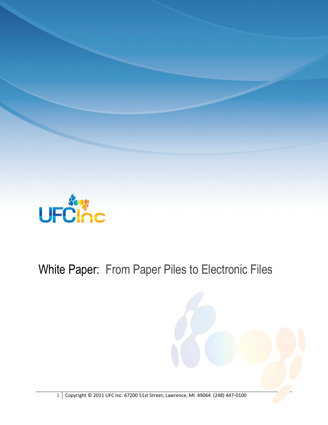

## White Paper: From Paper Piles to Electronic Files